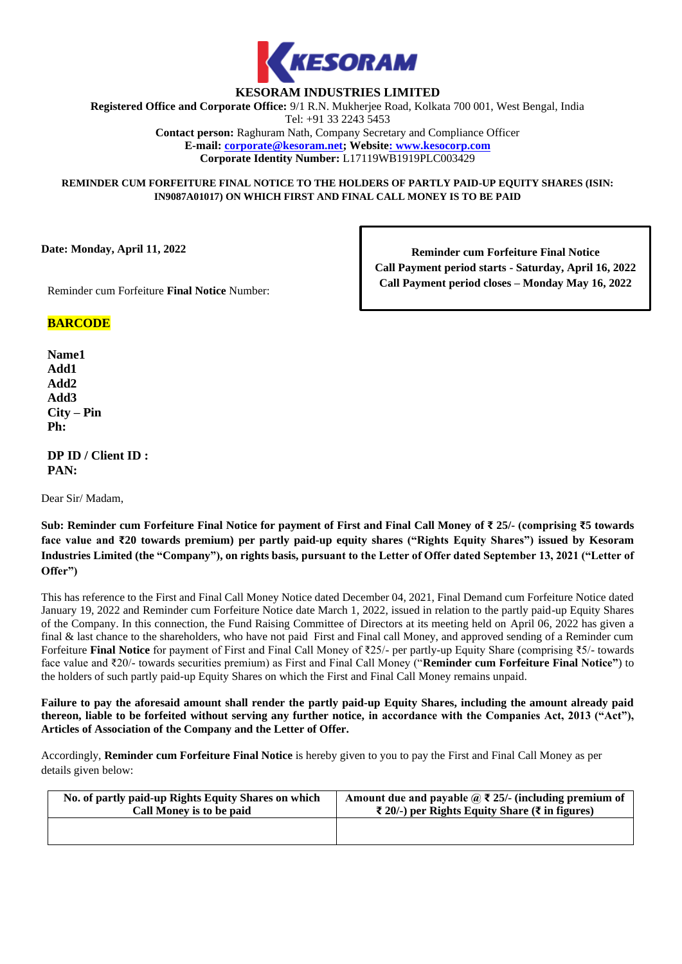

# **KESORAM INDUSTRIES LIMITED**

**Registered Office and Corporate Office:** 9/1 R.N. Mukherjee Road, Kolkata 700 001, West Bengal, India Tel: +91 33 2243 5453

**Contact person:** Raghuram Nath, Company Secretary and Compliance Officer **E-mail: corporate@kesoram.net; Website: www.kesocorp.com Corporate Identity Number:** L17119WB1919PLC003429

**REMINDER CUM FORFEITURE FINAL NOTICE TO THE HOLDERS OF PARTLY PAID-UP EQUITY SHARES (ISIN: IN9087A01017) ON WHICH FIRST AND FINAL CALL MONEY IS TO BE PAID**

**Date: Monday, April 11, 2022**

**Reminder cum Forfeiture Final Notice Call Payment period starts - Saturday, April 16, 2022 Call Payment period closes – Monday May 16, 2022**

Reminder cum Forfeiture **Final Notice** Number:

# **BARCODE**

**Name1 Add1 Add2 Add3 City – Pin Ph:**

**DP ID / Client ID : PAN:** 

Dear Sir/ Madam,

**Sub: Reminder cum Forfeiture Final Notice for payment of First and Final Call Money of ₹ 25/- (comprising ₹5 towards face value and ₹20 towards premium) per partly paid-up equity shares ("Rights Equity Shares") issued by Kesoram Industries Limited (the "Company"), on rights basis, pursuant to the Letter of Offer dated September 13, 2021 ("Letter of Offer")**

This has reference to the First and Final Call Money Notice dated December 04, 2021, Final Demand cum Forfeiture Notice dated January 19, 2022 and Reminder cum Forfeiture Notice date March 1, 2022, issued in relation to the partly paid-up Equity Shares of the Company. In this connection, the Fund Raising Committee of Directors at its meeting held on April 06, 2022 has given a final & last chance to the shareholders, who have not paid First and Final call Money, and approved sending of a Reminder cum Forfeiture **Final Notice** for payment of First and Final Call Money of ₹25/- per partly-up Equity Share (comprising ₹5/- towards face value and ₹20/- towards securities premium) as First and Final Call Money ("**Reminder cum Forfeiture Final Notice"**) to the holders of such partly paid-up Equity Shares on which the First and Final Call Money remains unpaid.

**Failure to pay the aforesaid amount shall render the partly paid-up Equity Shares, including the amount already paid thereon, liable to be forfeited without serving any further notice, in accordance with the Companies Act, 2013 ("Act"), Articles of Association of the Company and the Letter of Offer.**

Accordingly, **Reminder cum Forfeiture Final Notice** is hereby given to you to pay the First and Final Call Money as per details given below:

| No. of partly paid-up Rights Equity Shares on which | Amount due and payable $\mathcal{D} \bar{\mathcal{L}}$ 25/- (including premium of |
|-----------------------------------------------------|-----------------------------------------------------------------------------------|
| Call Money is to be paid                            | $\bar{\xi}$ 20/-) per Rights Equity Share ( $\bar{\xi}$ in figures)               |
|                                                     |                                                                                   |